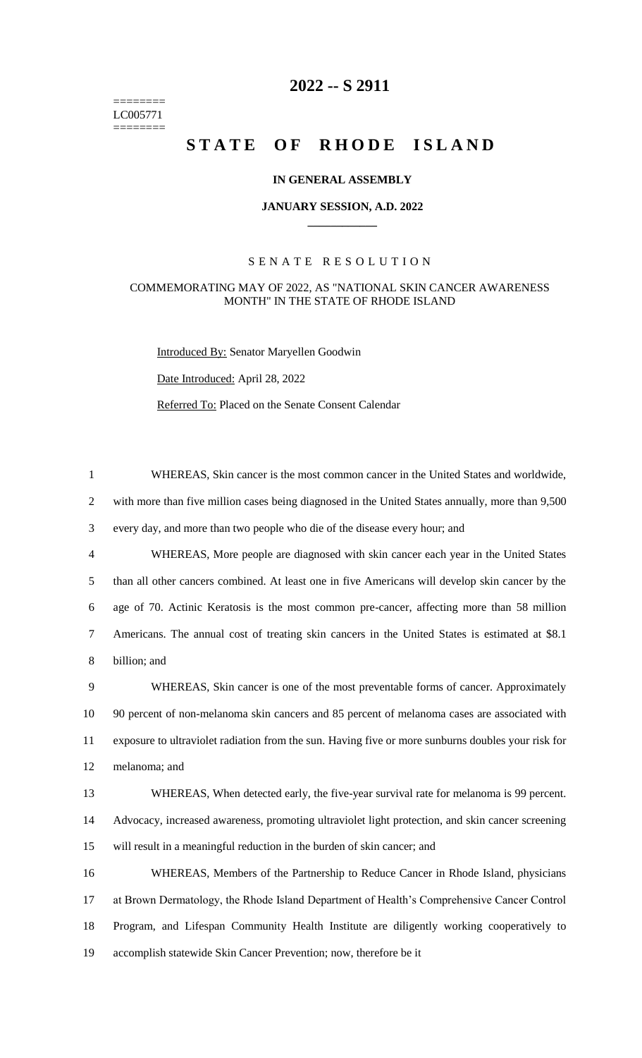======== LC005771 ========

# **-- S 2911**

# **STATE OF RHODE ISLAND**

## **IN GENERAL ASSEMBLY**

#### **JANUARY SESSION, A.D. 2022 \_\_\_\_\_\_\_\_\_\_\_\_**

## S E N A T E R E S O L U T I O N

#### COMMEMORATING MAY OF 2022, AS "NATIONAL SKIN CANCER AWARENESS MONTH" IN THE STATE OF RHODE ISLAND

Introduced By: Senator Maryellen Goodwin

Date Introduced: April 28, 2022

Referred To: Placed on the Senate Consent Calendar

 WHEREAS, Skin cancer is the most common cancer in the United States and worldwide, with more than five million cases being diagnosed in the United States annually, more than 9,500 every day, and more than two people who die of the disease every hour; and WHEREAS, More people are diagnosed with skin cancer each year in the United States than all other cancers combined. At least one in five Americans will develop skin cancer by the age of 70. Actinic Keratosis is the most common pre-cancer, affecting more than 58 million Americans. The annual cost of treating skin cancers in the United States is estimated at \$8.1 billion; and WHEREAS, Skin cancer is one of the most preventable forms of cancer. Approximately 90 percent of non-melanoma skin cancers and 85 percent of melanoma cases are associated with exposure to ultraviolet radiation from the sun. Having five or more sunburns doubles your risk for melanoma; and WHEREAS, When detected early, the five-year survival rate for melanoma is 99 percent. Advocacy, increased awareness, promoting ultraviolet light protection, and skin cancer screening will result in a meaningful reduction in the burden of skin cancer; and WHEREAS, Members of the Partnership to Reduce Cancer in Rhode Island, physicians at Brown Dermatology, the Rhode Island Department of Health's Comprehensive Cancer Control Program, and Lifespan Community Health Institute are diligently working cooperatively to accomplish statewide Skin Cancer Prevention; now, therefore be it